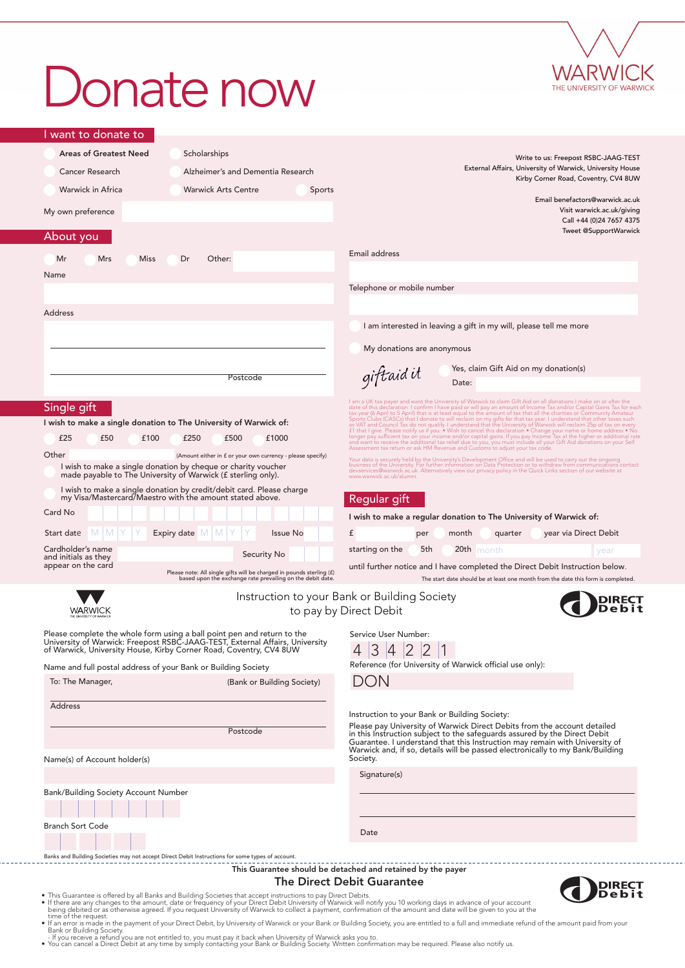# Donate now



DIRE<mark>CT</mark><br>Debit

| I want to donate to                                                          |                                                                                                                                                                                                                               |                                                                                                                                                                                                                                                                                                                                                                                                                                                                                                                                                                                                                                                                                                                                                                                                                                                                                                                                                                 |
|------------------------------------------------------------------------------|-------------------------------------------------------------------------------------------------------------------------------------------------------------------------------------------------------------------------------|-----------------------------------------------------------------------------------------------------------------------------------------------------------------------------------------------------------------------------------------------------------------------------------------------------------------------------------------------------------------------------------------------------------------------------------------------------------------------------------------------------------------------------------------------------------------------------------------------------------------------------------------------------------------------------------------------------------------------------------------------------------------------------------------------------------------------------------------------------------------------------------------------------------------------------------------------------------------|
| <b>Areas of Greatest Need</b><br><b>Cancer Research</b><br>Warwick in Africa | Scholarships<br>Alzheimer's and Dementia Research<br><b>Warwick Arts Centre</b><br><b>Sports</b>                                                                                                                              | Write to us: Freepost RSBC-JAAG-TEST<br>External Affairs, University of Warwick, University House<br>Kirby Corner Road, Coventry, CV4 8UW                                                                                                                                                                                                                                                                                                                                                                                                                                                                                                                                                                                                                                                                                                                                                                                                                       |
| My own preference<br>About you                                               |                                                                                                                                                                                                                               | Email benefactors@warwick.ac.uk<br>Visit warwick.ac.uk/giving<br>Call +44 (0)24 7657 4375<br>Tweet @SupportWarwick                                                                                                                                                                                                                                                                                                                                                                                                                                                                                                                                                                                                                                                                                                                                                                                                                                              |
| Mr<br>Mrs<br><b>Miss</b>                                                     | Dr<br>Other:                                                                                                                                                                                                                  | Email address                                                                                                                                                                                                                                                                                                                                                                                                                                                                                                                                                                                                                                                                                                                                                                                                                                                                                                                                                   |
| Name                                                                         |                                                                                                                                                                                                                               |                                                                                                                                                                                                                                                                                                                                                                                                                                                                                                                                                                                                                                                                                                                                                                                                                                                                                                                                                                 |
|                                                                              |                                                                                                                                                                                                                               | Telephone or mobile number                                                                                                                                                                                                                                                                                                                                                                                                                                                                                                                                                                                                                                                                                                                                                                                                                                                                                                                                      |
| <b>Address</b>                                                               |                                                                                                                                                                                                                               |                                                                                                                                                                                                                                                                                                                                                                                                                                                                                                                                                                                                                                                                                                                                                                                                                                                                                                                                                                 |
|                                                                              |                                                                                                                                                                                                                               | I am interested in leaving a gift in my will, please tell me more                                                                                                                                                                                                                                                                                                                                                                                                                                                                                                                                                                                                                                                                                                                                                                                                                                                                                               |
|                                                                              |                                                                                                                                                                                                                               | My donations are anonymous                                                                                                                                                                                                                                                                                                                                                                                                                                                                                                                                                                                                                                                                                                                                                                                                                                                                                                                                      |
|                                                                              | Postcode                                                                                                                                                                                                                      | Yes, claim Gift Aid on my donation(s)<br>giftaid it<br>Date:                                                                                                                                                                                                                                                                                                                                                                                                                                                                                                                                                                                                                                                                                                                                                                                                                                                                                                    |
| Single gift<br>£25<br>£50<br>£100                                            | I wish to make a single donation to The University of Warwick of:<br>£250<br>£1000<br>£500                                                                                                                                    | I am a UK tax payer and want the University of Warwick to claim Gift Aid on all donations I make on or after the<br>date of this declaration. I confirm I have paid or will pay an amount of Income Tax and/or Capital Gains Tax for each<br>tax year (6 April to 5 April) that is at least equal to the amount of tax that all the charities or Comm<br>Sports Clubs (CASCs) that I donate to will reclaim on my gifts for that tax year. I understand that other taxes such<br>as WAT and Council Tax do not qualify. I understand that the University of Warwick will reclaim 25p of tax on every £1 that I give. Please notify us if you: • Wish to cancel this declaration • Change your name or home addr<br>longer pay sufficient tax on your income and/or capital gains. If you pay Income Tax at the higher or additional rate<br>and want to receive the additional tax relief due to you, you must include all your Gift Aid donations on your Self |
| Other                                                                        | (Amount either in £ or your own currency - please specify)                                                                                                                                                                    | Assessment tax return or ask HM Revenue and Customs to adjust your tax code.                                                                                                                                                                                                                                                                                                                                                                                                                                                                                                                                                                                                                                                                                                                                                                                                                                                                                    |
|                                                                              | I wish to make a single donation by cheque or charity voucher<br>made payable to The University of Warwick (f sterling only).                                                                                                 | Your data is securely held by the University's Development Office and will be used to carry out the ongoing<br>business of the University. For further information on Data Protection or to withdraw from communications contact<br>devservices@warwick.ac.uk. Alternatively view our privacy policy in the Quick Links section of our website at<br>www.warwick.ac.uk/alumni.                                                                                                                                                                                                                                                                                                                                                                                                                                                                                                                                                                                  |
|                                                                              | I wish to make a single donation by credit/debit card. Please charge<br>my Visa/Mastercard/Maestro with the amount stated above.                                                                                              | Regular gift                                                                                                                                                                                                                                                                                                                                                                                                                                                                                                                                                                                                                                                                                                                                                                                                                                                                                                                                                    |
| Card No                                                                      |                                                                                                                                                                                                                               | I wish to make a regular donation to The University of Warwick of:                                                                                                                                                                                                                                                                                                                                                                                                                                                                                                                                                                                                                                                                                                                                                                                                                                                                                              |
| Start date<br>M I M I                                                        | Expiry date $\blacksquare$<br><b>Issue No</b>                                                                                                                                                                                 | £<br>month<br>year via Direct Debit<br>per<br>quarter                                                                                                                                                                                                                                                                                                                                                                                                                                                                                                                                                                                                                                                                                                                                                                                                                                                                                                           |
| Cardholder's name<br>and initials as they                                    | Security No                                                                                                                                                                                                                   | starting on the<br>5th<br>20th $month$<br>year                                                                                                                                                                                                                                                                                                                                                                                                                                                                                                                                                                                                                                                                                                                                                                                                                                                                                                                  |
| appear on the card                                                           | Please note: All single gifts will be charged in pounds sterling (£)<br>based upon the exchange rate prevailing on the debit date.                                                                                            | until further notice and I have completed the Direct Debit Instruction below.<br>The start date should be at least one month from the date this form is completed.                                                                                                                                                                                                                                                                                                                                                                                                                                                                                                                                                                                                                                                                                                                                                                                              |
|                                                                              |                                                                                                                                                                                                                               | Instruction to your Bank or Building Society<br>to pay by Direct Debit                                                                                                                                                                                                                                                                                                                                                                                                                                                                                                                                                                                                                                                                                                                                                                                                                                                                                          |
| Name and full postal address of your Bank or Building Society                | Please complete the whole form using a ball point pen and return to the<br>University of Warwick: Freepost RSBC-JAAG-TEST, External Affairs, University<br>of Warwick, University House, Kirby Corner Road, Coventry, CV4 8UW | Service User Number:<br>Reference (for University of Warwick official use only):                                                                                                                                                                                                                                                                                                                                                                                                                                                                                                                                                                                                                                                                                                                                                                                                                                                                                |
| To: The Manager,                                                             | (Bank or Building Society)                                                                                                                                                                                                    | DON                                                                                                                                                                                                                                                                                                                                                                                                                                                                                                                                                                                                                                                                                                                                                                                                                                                                                                                                                             |
| <b>Address</b>                                                               |                                                                                                                                                                                                                               | Instruction to your Bank or Building Society:<br>Please pay University of Warwick Direct Debits from the account detailed                                                                                                                                                                                                                                                                                                                                                                                                                                                                                                                                                                                                                                                                                                                                                                                                                                       |
|                                                                              | Postcode                                                                                                                                                                                                                      | in this Instruction subject to the safeguards assured by the Direct Debit<br>Guarantee. I understand that this Instruction may remain with University of<br>Warwick and, if so, details will be passed electronically to my Bank/Building                                                                                                                                                                                                                                                                                                                                                                                                                                                                                                                                                                                                                                                                                                                       |
| Name(s) of Account holder(s)                                                 |                                                                                                                                                                                                                               | Society.<br>Signature(s)                                                                                                                                                                                                                                                                                                                                                                                                                                                                                                                                                                                                                                                                                                                                                                                                                                                                                                                                        |
| Bank/Building Society Account Number                                         |                                                                                                                                                                                                                               |                                                                                                                                                                                                                                                                                                                                                                                                                                                                                                                                                                                                                                                                                                                                                                                                                                                                                                                                                                 |
| <b>Branch Sort Code</b>                                                      |                                                                                                                                                                                                                               | Date                                                                                                                                                                                                                                                                                                                                                                                                                                                                                                                                                                                                                                                                                                                                                                                                                                                                                                                                                            |
|                                                                              | Banks and Building Societies may not accept Direct Debit Instructions for some types of account.                                                                                                                              | This Guarantee should be detached and retained by the payer                                                                                                                                                                                                                                                                                                                                                                                                                                                                                                                                                                                                                                                                                                                                                                                                                                                                                                     |

#### The Direct Debit Guarantee

- 
- 
- This Guarantee is offered by all Banks and Building Societies that accept instructions to pay Direct Debits.<br>• If there are any changes to the amount, date or frequency of your Direct Debit Diversity of Warwick will noti
- 

 $1111111111$